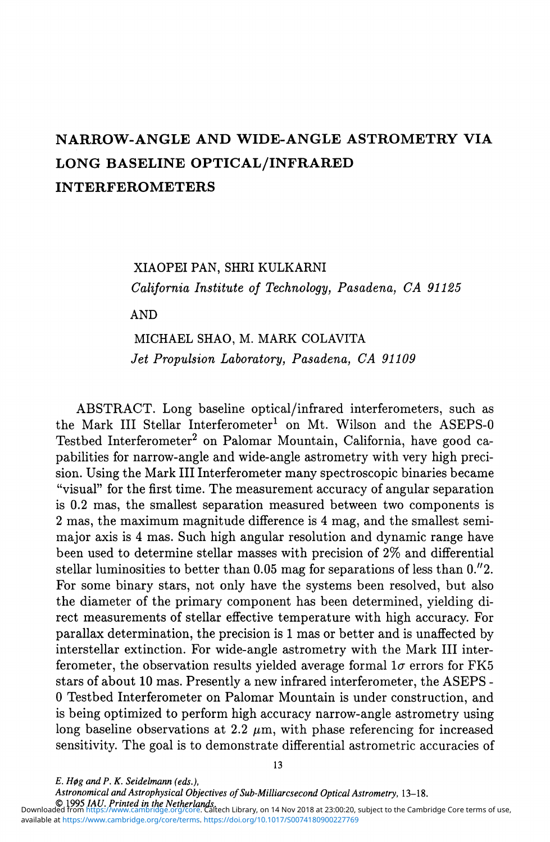# NARROW-ANGLE AND WIDE-ANGLE ASTROMETRY VIA LONG BASELINE OPTICAL/INFRARED **INTERFEROMETERS**

## XIAOPEI PAN, SHRI KULKARNI *California Institute of Technology, Pasadena, CA 91125*

AND

## MICHAEL SHAO, M. MARK COLAVITA *Jet Propulsion Laboratory, Pasadena, CA 91109*

ABSTRACT. Long baseline optical/infrared interferometers, such as the Mark III Stellar Interferometer<sup>1</sup> on Mt. Wilson and the ASEPS-0 Testbed Interferometer<sup>2</sup> on Palomar Mountain, California, have good capabilities for narrow-angle and wide-angle astrometry with very high precision. Using the Mark III Interferometer many spectroscopic binaries became "visual" for the first time. The measurement accuracy of angular separation is 0.2 mas, the smallest separation measured between two components is 2 mas, the maximum magnitude difference is 4 mag, and the smallest semimajor axis is 4 mas. Such high angular resolution and dynamic range have been used to determine stellar masses with precision of 2% and differential stellar luminosities to better than 0.05 mag for separations of less than 0."2. For some binary stars, not only have the systems been resolved, but also the diameter of the primary component has been determined, yielding direct measurements of stellar effective temperature with high accuracy. For parallax determination, the precision is 1 mas or better and is unaffected by interstellar extinction. For wide-angle astrometry with the Mark III interferometer, the observation results yielded average formal  $1\sigma$  errors for FK5 stars of about 10 mas. Presently a new infrared interferometer, the ASEPS - 0 Testbed Interferometer on Palomar Mountain is under construction, and is being optimized to perform high accuracy narrow-angle astrometry using long baseline observations at 2.2  $\mu$ m, with phase referencing for increased sensitivity. The goal is to demonstrate differential astrometric accuracies of

*Astronomical and Astrophysical Objectives of Sub-Milliarcsecond Optical Astrometry,* **13-18.** 

*E. H0g and P. K. Seldelmann (eds.),*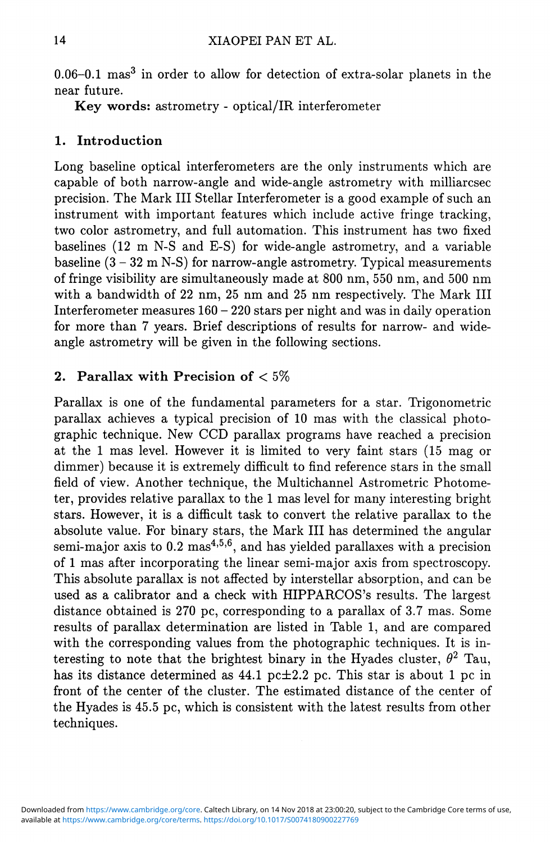0.06–0.1 mas<sup>3</sup> in order to allow for detection of extra-solar planets in the near future.

Key words: astrometry - optical/IR interferometer

## 1. Introduction

Long baseline optical interferometers are the only instruments which are capable of both narrow-angle and wide-angle astrometry with milliarcsec precision. The Mark III Stellar Interferometer is a good example of such an instrument with important features which include active fringe tracking, two color astrometry, and full automation. This instrument has two fixed baselines (12 m N-S and E-S) for wide-angle astrometry, and a variable baseline  $(3 - 32 \text{ m N-S})$  for narrow-angle astrometry. Typical measurements of fringe visibility are simultaneously made at 800 nm, 550 nm, and 500 nm with a bandwidth of 22 nm, 25 nm and 25 nm respectively. The Mark III Interferometer measures  $160 - 220$  stars per night and was in daily operation for more than 7 years. Brief descriptions of results for narrow- and wideangle astrometry will be given in the following sections.

# 2. Parallax with Precision of  $< 5\%$

Parallax is one of the fundamental parameters for a star. Trigonometric parallax achieves a typical precision of 10 mas with the classical photographic technique. New CCD parallax programs have reached a precision at the 1 mas level. However it is limited to very faint stars (15 mag or dimmer) because it is extremely difficult to find reference stars in the small field of view. Another technique, the Multichannel Astrometric Photometer, provides relative parallax to the 1 mas level for many interesting bright stars. However, it is a difficult task to convert the relative parallax to the absolute value. For binary stars, the Mark III has determined the angular semi-major axis to  $0.2$  mas<sup>4,5,6</sup>, and has yielded parallaxes with a precision of 1 mas after incorporating the linear semi-major axis from spectroscopy. This absolute parallax is not affected by interstellar absorption, and can be used as a calibrator and a check with HIPPARCOS's results. The largest distance obtained is 270 pc, corresponding to a parallax of 3.7 mas. Some results of parallax determination are listed in Table 1, and are compared with the corresponding values from the photographic techniques. It is interesting to note that the brightest binary in the Hyades cluster,  $\theta^2$  Tau, has its distance determined as 44.1 pc $\pm 2.2$  pc. This star is about 1 pc in front of the center of the cluster. The estimated distance of the center of the Hyades is 45.5 pc, which is consistent with the latest results from other techniques.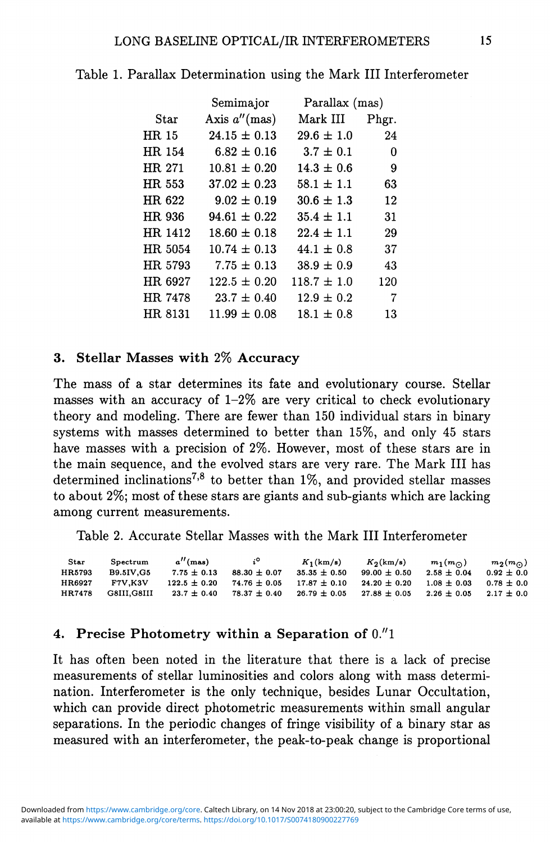|         | Semimajor        | Parallax (mas)    |       |  |
|---------|------------------|-------------------|-------|--|
| Star    | Axis $a''$ (mas) | ${\rm Mark\ III}$ | Phgr. |  |
| HR 15   | $24.15 \pm 0.13$ | $29.6 \pm 1.0$    | 24    |  |
| HR 154  | $6.82 \pm 0.16$  | $3.7 \pm 0.1$     | 0     |  |
| HR 271  | $10.81 \pm 0.20$ | $14.3 \pm 0.6$    | 9     |  |
| HR 553  | $37.02 \pm 0.23$ | $58.1 \pm 1.1$    | 63    |  |
| HR 622  | $9.02 \pm 0.19$  | $30.6 \pm 1.3$    | 12    |  |
| HR 936  | $94.61 \pm 0.22$ | $35.4 \pm 1.1$    | 31    |  |
| HR 1412 | $18.60 \pm 0.18$ | $22.4 \pm 1.1$    | 29    |  |
| HR 5054 | $10.74 \pm 0.13$ | $44.1 \pm 0.8$    | 37    |  |
| HR 5793 | $7.75 \pm 0.13$  | $38.9 \pm 0.9$    | 43    |  |
| HR 6927 | $122.5 \pm 0.20$ | $118.7 \pm 1.0$   | 120   |  |
| HR 7478 | $23.7 \pm 0.40$  | $12.9 \pm 0.2$    | 7     |  |
| HR 8131 | $11.99 \pm 0.08$ | $18.1 \pm 0.8$    | 13    |  |

#### Table 1. Parallax Determination using the Mark III Interferometer

#### 3 . **Stellar Masse s with** 2% **Accuracy**

The mass of a star determines its fate and evolutionary course. Stellar masses with an accuracy of  $1-2\%$  are very critical to check evolutionary theory and modeling. There are fewer than 150 individual stars in binary systems with masses determined to better than 15%, and only 45 stars have masses with a precision of 2%. However, most of these stars are in the main sequence, and the evolved stars are very rare. The Mark III has determined inclinations<sup>',8</sup> to better than 1%, and provided stellar masses to about 2%; most of these stars are giants and sub-giants which are lacking among current measurements.

Table 2. Accurate Stellar Masses with the Mark III Interferometer

| Star   | Spectrum         | $a''$ (mas)      | $i^{\circ}$      | $K_1(km/s)$      | $K_2(km/s)$      | $m_1(m_{\odot})$ | $m_2(m_{\odot})$ |
|--------|------------------|------------------|------------------|------------------|------------------|------------------|------------------|
| HR5793 | <b>B9.5IV.G5</b> | $7.75 \pm 0.13$  | $88.30 + 0.07$   | $35.35 \pm 0.50$ | $99.00 \pm 0.50$ | $2.58 \pm 0.04$  | $0.92 \pm 0.0$   |
| HR6927 | <b>F7V.K3V</b>   | $122.5 \pm 0.20$ | $74.76 \pm 0.05$ | $17.87 \pm 0.10$ | $24.20 \pm 0.20$ | $1.08 \pm 0.03$  | $0.78 \pm 0.0$   |
| HR7478 | G8III.G8III      | $23.7 \pm 0.40$  | $78.37 \pm 0.40$ | $26.79 \pm 0.05$ | $27.88 + 0.05$   | $2.26 + 0.05$    | $2.17 \pm 0.0$   |

#### 4. **Precis e Photometr y within a Separation of** 0."1

It has often been noted in the literature that there is a lack of precise measurements of stellar luminosities and colors along with mass determination. Interferometer is the only technique, besides Lunar Occultation, which can provide direct photometric measurements within small angular separations. In the periodic changes of fringe visibility of a binary star as measured with an interferometer, the peak-to-peak change is proportional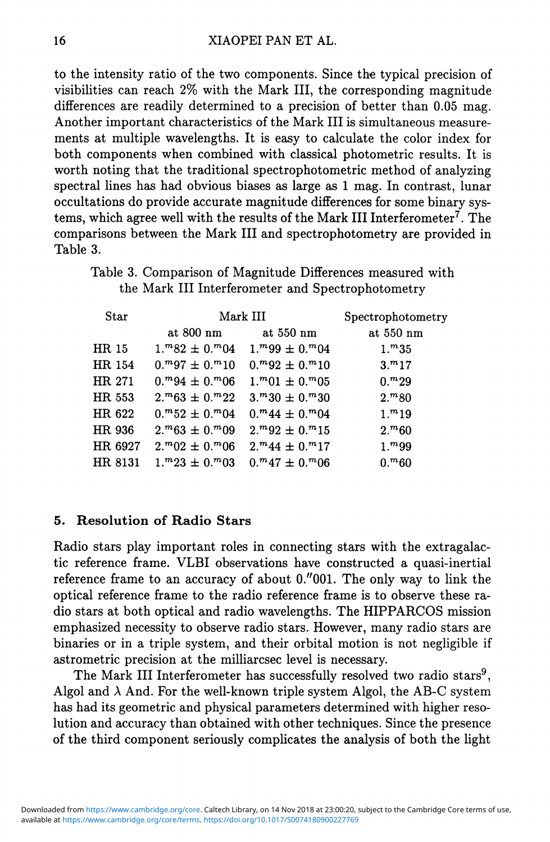to the intensity ratio of the two components. Since *the* typical precision of visibilities can reach 2% with the Mark III, the corresponding magnitude differences are readily determined to a precision of better than 0.05 mag. Another important characteristics of the Mark III is simultaneous measurements at multiple wavelengths. It is easy to calculate the color index for both components when combined with classical photometric results. It is worth noting that the traditional spectrophotometric method of analyzing spectral lines has had obvious biases as large as 1 mag. In contrast, lunar occultations do provide accurate magnitude differences for some binary systems, which agree well with the results of the Mark III Interferometer<sup>7</sup>. The comparisons between the Mark III and spectrophotometry are provided in Table 3.

Table 3. Comparison of Magnitude Differences measured with the Mark III Interferometer and Spectrophotometry

| Star    | Mark III                | Spectrophotometry       |                   |  |
|---------|-------------------------|-------------------------|-------------------|--|
|         | at 800 nm               | at 550 nm               | at 550 nm         |  |
| HR 15   | $1.^m82 \pm 0.^m04$     | $1.^{m}99 \pm 0.^{m}04$ | $1.^m35$          |  |
| HR 154  | $0.^{m}97 \pm 0.^{m}10$ | $0.^{m}92 \pm 0.^{m}10$ | 3. m17            |  |
| HR 271  | $0.^{m}94 \pm 0.^{m}06$ | $1.^{m}01 \pm 0.^{m}05$ | $0.^{m}29$        |  |
| HR 553  | $2.^{m}63 \pm 0.^{m}22$ | $3.^m30 \pm 0.^m30$     | $2.^{m}80$        |  |
| HR 622  | $0.^{m}52 \pm 0.^{m}04$ | $0.^{m}44 \pm 0.^{m}04$ | 1 <sup>m</sup> 19 |  |
| HR 936  | $2.^{m}63 \pm 0.^{m}09$ | $2.^{m}92 \pm 0.^{m}15$ | $2.^{m}60$        |  |
| HR 6927 | $2.^{m}02 \pm 0.^{m}06$ | $2.^{m}44 \pm 0.^{m}17$ | $1.^{m}99$        |  |
| HR 8131 | $1.^m23 \pm 0.^m03$     | $0.^{m}47 \pm 0.^{m}06$ | $0.^{m}60$        |  |

#### **5. Resolution of Radio Stars**

Radio stars play important roles in connecting stars with the extragalactic reference frame. VLBI observations have constructed a quasi-inertial reference frame to an accuracy of about 0."001. The only way to link the optical reference frame to the radio reference frame is to observe these radio stars at both optical and radio wavelengths. The HIPPARCOS mission emphasized necessity to observe radio stars. However, many radio stars are binaries or in a triple system, and their orbital motion is not negligible if astrometric precision at the milliarcsec level is necessary.

The Mark III Interferometer has successfully resolved two radio stars<sup>9</sup>, Algol and  $\lambda$  And. For the well-known triple system Algol, the AB-C system has had its geometric and physical parameters determined with higher resolution and accuracy than obtained with other techniques. Since the presence of the third component seriously complicates the analysis of both the light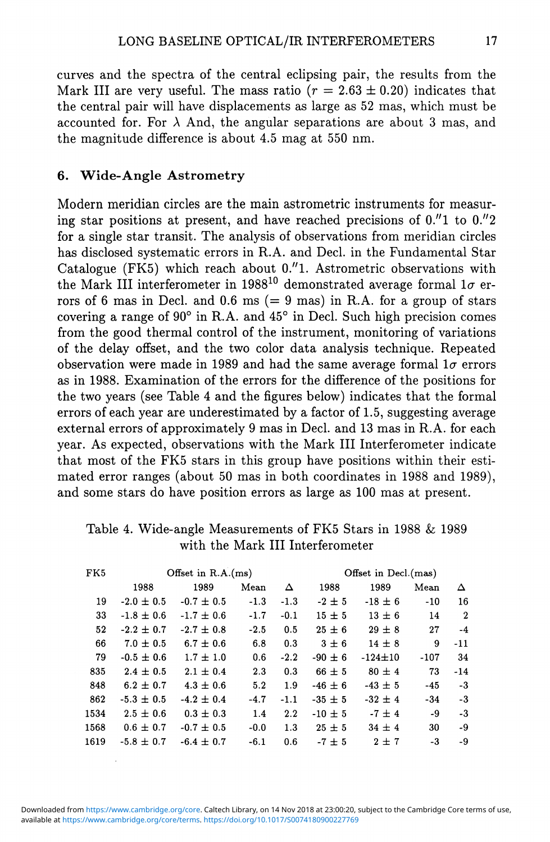curves and the spectra of the central eclipsing pair, the results from the Mark III are very useful. The mass ratio ( $r = 2.63 \pm 0.20$ ) indicates that the central pair will have displacements as large as 52 mas, which must be accounted for. For  $\lambda$  And, the angular separations are about 3 mas, and the magnitude difference is about 4.5 mag at 550 nm.

### **6.** Wide-Angle Astrometry

Modern meridian circles are the main astrometric instruments for measuring star positions at present, and have reached precisions of  $0.''1$  to  $0.''2$ for a single star transit. The analysis of observations from meridian circles has disclosed systematic errors in R.A. and Decl. in the Fundamental Star Catalogue (FK5) which reach about 0."1. Astrometric observations with the Mark III interferometer in 1988<sup>10</sup> demonstrated average formal  $1\sigma$  errors of 6 mas in Decl. and 0.6 ms ( $= 9$  mas) in R.A. for a group of stars covering a range of  $90^\circ$  in R.A. and  $45^\circ$  in Decl. Such high precision comes from the good thermal control of the instrument, monitoring of variations of the delay offset, and the two color data analysis technique. Repeated observation were made in 1989 and had the same average formal  $1\sigma$  errors as in 1988. Examination of the errors for the difference of the positions for the two years (see Table 4 and the figures below) indicates that the formal errors of each year are underestimated by a factor of 1.5, suggesting average external errors of approximately 9 mas in Decl. and 13 mas in R.A. for each year. As expected, observations with the Mark III Interferometer indicate that most of the FK5 stars in this group have positions within their estimated error ranges (about 50 mas in both coordinates in 1988 and 1989), and some stars do have position errors as large as 100 mas at present.

| FK5  | Offset in R.A.(ms) |                |        |        | Offset in Decl.(mas) |               |        |                  |
|------|--------------------|----------------|--------|--------|----------------------|---------------|--------|------------------|
|      | 1988               | 1989           | Mean   | Δ      | 1988                 | 1989          | Mean   | Δ                |
| 19   | $-2.0 \pm 0.5$     | $-0.7 \pm 0.5$ | $-1.3$ | $-1.3$ | $-2 \pm 5$           | $-18 \pm 6$   | $-10$  | 16               |
| 33   | $-1.8 \pm 0.6$     | $-1.7 \pm 0.6$ | $-1.7$ | $-0.1$ | $15 \pm 5$           | $13 \pm 6$    | 14     | $\boldsymbol{2}$ |
| 52   | $-2.2 \pm 0.7$     | $-2.7 \pm 0.8$ | $-2.5$ | 0.5    | $25 \pm 6$           | $29 \pm 8$    | 27     | $-4$             |
| 66   | $7.0 \pm 0.5$      | $6.7 \pm 0.6$  | 6.8    | 0.3    | $3\pm 6$             | $14 \pm 8$    | 9      | $-11$            |
| 79   | $-0.5 \pm 0.6$     | $1.7 \pm 1.0$  | 0.6    | $-2.2$ | $-90 \pm 6$          | $-124 \pm 10$ | $-107$ | 34               |
| 835  | $2.4 \pm 0.5$      | $2.1 \pm 0.4$  | 2.3    | 0.3    | $66 \pm 5$           | $80 \pm 4$    | 73     | $-14$            |
| 848  | $6.2 \pm 0.7$      | $4.3 \pm 0.6$  | 5.2    | 1.9    | $-46 \pm 6$          | $-43 \pm 5$   | $-45$  | $-3$             |
| 862  | $-5.3 \pm 0.5$     | $-4.2 \pm 0.4$ | $-4.7$ | $-1.1$ | $-35 \pm 5$          | $-32 \pm 4$   | $-34$  | $-3$             |
| 1534 | $2.5 \pm 0.6$      | $0.3 \pm 0.3$  | 1.4    | 2.2    | $-10 \pm 5$          | $-7 \pm 4$    | -9     | $-3$             |
| 1568 | $0.6 \pm 0.7$      | $-0.7 \pm 0.5$ | $-0.0$ | 1.3    | $25 \pm 5$           | $34 \pm 4$    | 30     | -9               |
| 1619 | $-5.8 \pm 0.7$     | $-6.4 \pm 0.7$ | $-6.1$ | 0.6    | $-7 + 5$             | 2±7           | $-3$   | -9               |

### Table 4. Wide-angle Measurements of FK5 Stars in 1988 & 1989 with the Mark III Interferometer